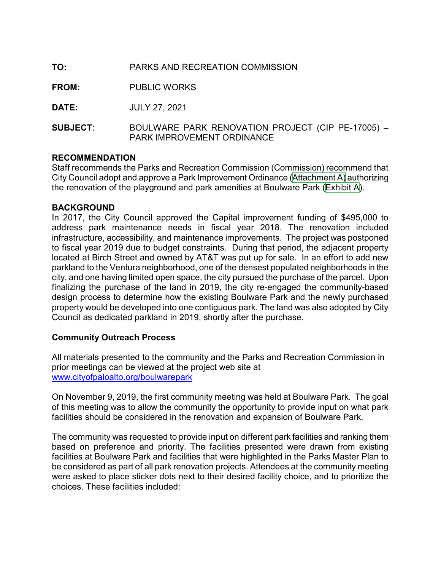## TO: PARKS AND RECREATION COMMISSION

FROM: PUBLIC WORKS

DATE: JULY 27, 2021

SUBJECT: BOULWARE PARK RENOVATION PROJECT (CIP PE-17005) – PARK IMPROVEMENT ORDINANCE

#### RECOMMENDATION

Staff recommends the Parks and Recreation Commission (Commission) recommend that City Council adopt and approve a Park Improvement Ordinance [\(Attachment A\)](http://www.cityofpaloalto.org/files/assets/public/agendas-minutes-reports/agendas-minutes/parks-and-recreation-commission/agendas-minutes/2021-agendas-and-minutes/attachment-a-pio-boulware-park.pdf) authorizing the renovation of the playground and park amenities at Boulware Park ([Exhibit A](http://www.cityofpaloalto.org/files/assets/public/agendas-minutes-reports/agendas-minutes/parks-and-recreation-commission/agendas-minutes/2021-agendas-and-minutes/exhibit-a-boulware-park.pdf)).

#### **BACKGROUND**

In 2017, the City Council approved the Capital improvement funding of \$495,000 to address park maintenance needs in fiscal year 2018. The renovation included infrastructure, accessibility, and maintenance improvements. The project was postponed to fiscal year 2019 due to budget constraints. During that period, the adjacent property located at Birch Street and owned by AT&T was put up for sale. In an effort to add new parkland to the Ventura neighborhood, one of the densest populated neighborhoods in the city, and one having limited open space, the city pursued the purchase of the parcel. Upon finalizing the purchase of the land in 2019, the city re-engaged the community-based design process to determine how the existing Boulware Park and the newly purchased property would be developed into one contiguous park. The land was also adopted by City Council as dedicated parkland in 2019, shortly after the purchase.

### Community Outreach Process

All materials presented to the community and the Parks and Recreation Commission in prior meetings can be viewed at the project web site at www.cityofpaloalto.org/boulwarepark

On November 9, 2019, the first community meeting was held at Boulware Park. The goal of this meeting was to allow the community the opportunity to provide input on what park facilities should be considered in the renovation and expansion of Boulware Park.

The community was requested to provide input on different park facilities and ranking them based on preference and priority. The facilities presented were drawn from existing facilities at Boulware Park and facilities that were highlighted in the Parks Master Plan to be considered as part of all park renovation projects. Attendees at the community meeting were asked to place sticker dots next to their desired facility choice, and to prioritize the choices. These facilities included: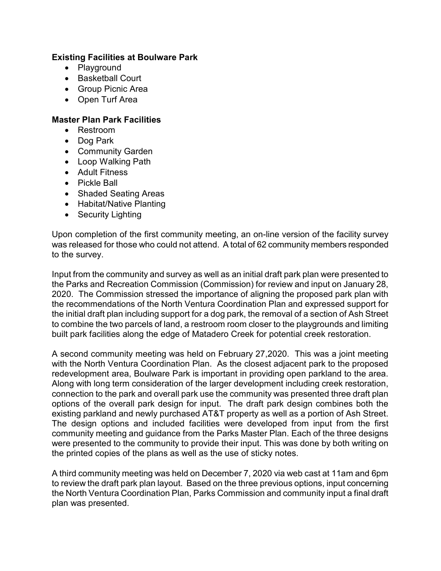## Existing Facilities at Boulware Park

- Playground
- Basketball Court
- Group Picnic Area
- Open Turf Area

## Master Plan Park Facilities

- Restroom
- Dog Park
- Community Garden
- Loop Walking Path
- Adult Fitness
- Pickle Ball
- Shaded Seating Areas
- Habitat/Native Planting
- Security Lighting

Upon completion of the first community meeting, an on-line version of the facility survey was released for those who could not attend. A total of 62 community members responded to the survey.

Input from the community and survey as well as an initial draft park plan were presented to the Parks and Recreation Commission (Commission) for review and input on January 28, 2020. The Commission stressed the importance of aligning the proposed park plan with the recommendations of the North Ventura Coordination Plan and expressed support for the initial draft plan including support for a dog park, the removal of a section of Ash Street to combine the two parcels of land, a restroom room closer to the playgrounds and limiting built park facilities along the edge of Matadero Creek for potential creek restoration.

A second community meeting was held on February 27,2020. This was a joint meeting with the North Ventura Coordination Plan. As the closest adjacent park to the proposed redevelopment area, Boulware Park is important in providing open parkland to the area. Along with long term consideration of the larger development including creek restoration, connection to the park and overall park use the community was presented three draft plan options of the overall park design for input. The draft park design combines both the existing parkland and newly purchased AT&T property as well as a portion of Ash Street. The design options and included facilities were developed from input from the first community meeting and guidance from the Parks Master Plan. Each of the three designs were presented to the community to provide their input. This was done by both writing on the printed copies of the plans as well as the use of sticky notes.

A third community meeting was held on December 7, 2020 via web cast at 11am and 6pm to review the draft park plan layout. Based on the three previous options, input concerning the North Ventura Coordination Plan, Parks Commission and community input a final draft plan was presented.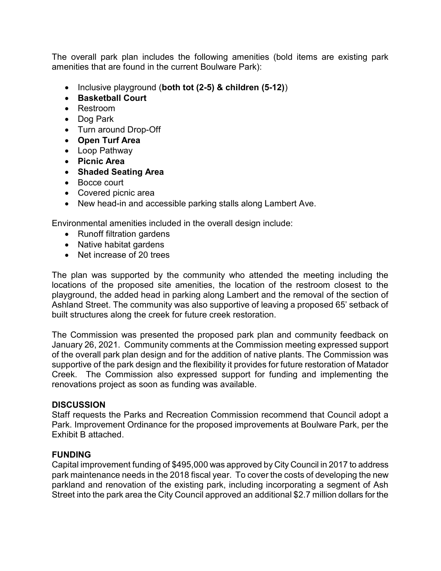The overall park plan includes the following amenities (bold items are existing park amenities that are found in the current Boulware Park):

- Inclusive playground (both tot (2-5) & children (5-12))
- Basketball Court
- Restroom
- Dog Park
- Turn around Drop-Off
- Open Turf Area
- Loop Pathway
- Picnic Area
- Shaded Seating Area
- Bocce court
- Covered picnic area
- New head-in and accessible parking stalls along Lambert Ave.

Environmental amenities included in the overall design include:

- Runoff filtration gardens
- Native habitat gardens
- Net increase of 20 trees

The plan was supported by the community who attended the meeting including the locations of the proposed site amenities, the location of the restroom closest to the playground, the added head in parking along Lambert and the removal of the section of Ashland Street. The community was also supportive of leaving a proposed 65' setback of built structures along the creek for future creek restoration.

The Commission was presented the proposed park plan and community feedback on January 26, 2021. Community comments at the Commission meeting expressed support of the overall park plan design and for the addition of native plants. The Commission was supportive of the park design and the flexibility it provides for future restoration of Matador Creek. The Commission also expressed support for funding and implementing the renovations project as soon as funding was available.

### **DISCUSSION**

Staff requests the Parks and Recreation Commission recommend that Council adopt a Park. Improvement Ordinance for the proposed improvements at Boulware Park, per the Exhibit B attached.

### FUNDING

Capital improvement funding of \$495,000 was approved by City Council in 2017 to address park maintenance needs in the 2018 fiscal year. To cover the costs of developing the new parkland and renovation of the existing park, including incorporating a segment of Ash Street into the park area the City Council approved an additional \$2.7 million dollars for the